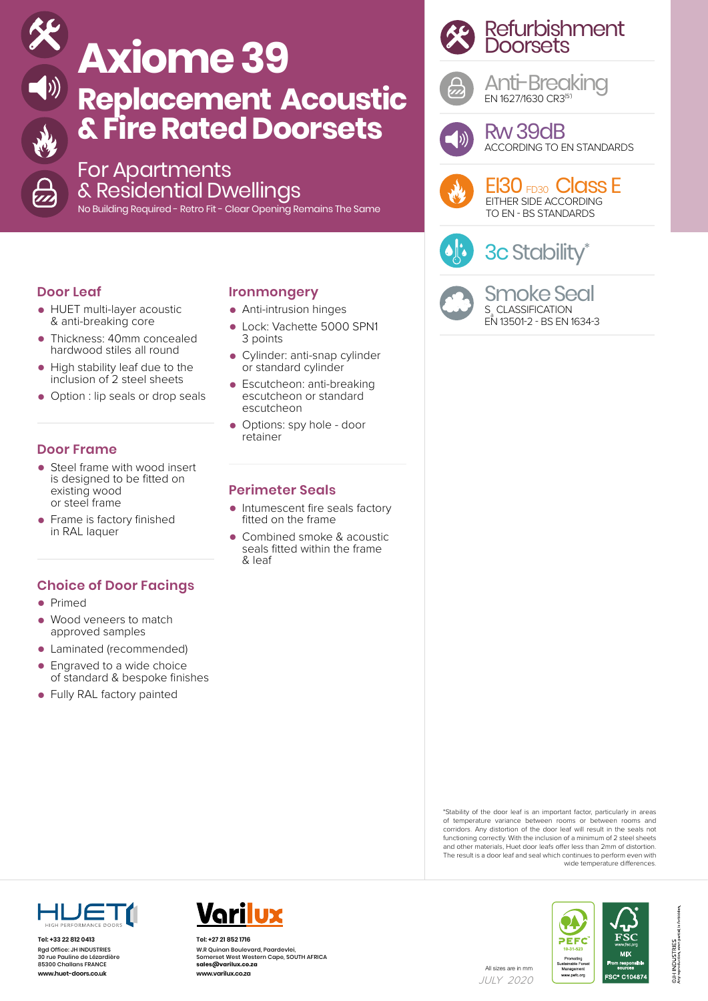

# **Axiome 39 Replacement Acoustic & Fire Rated Doorsets**

### For Apartments & Residential Dwellings

No Building Required - Retro Fit - Clear Opening Remains The Same

#### **Door Leaf**

- HUET multi-layer acoustic & anti-breaking core
- Thickness: 40mm concealed hardwood stiles all round
- High stability leaf due to the inclusion of 2 steel sheets
- Option : lip seals or drop seals

#### **Door Frame**

- Steel frame with wood insert is designed to be fitted on existing wood or steel frame
- Frame is factory finished in RAL laquer

#### **Choice of Door Facings**

- Primed
- Wood veneers to match approved samples
- Laminated (recommended)
- Engraved to a wide choice of standard & bespoke finishes
- Fully RAL factory painted

#### **Ironmongery**

- Anti-intrusion hinges
- Lock: Vachette 5000 SPN1 3 points
- Cylinder: anti-snap cylinder or standard cylinder
- Escutcheon: anti-breaking escutcheon or standard escutcheon
- Options: spy hole door retainer

#### **Perimeter Seals**

- Intumescent fire seals factory fitted on the frame
- Combined smoke & acoustic seals fitted within the frame & leaf





Anti-Breaking EN 1627/1630 CR3(5')



Rw 39dB ACCORDING TO EN STANDARDS



EI30 FD30 Class E EITHER SIDE ACCORDING TO EN - BS STANDARDS

## 3c Stability\*



Smoke Seal S CLASSIFICATION EN 13501-2 - BS EN 1634-3

\*Stability of the door leaf is an important factor, particularly in areas of temperature variance between rooms or between rooms and corridors. Any distortion of the door leaf will result in the seals not functioning correctly. With the inclusion of a minimum of 2 steel sheets and other materials, Huet door leafs offer less than 2mm of distortion. The result is a door leaf and seal which continues to perform even with wide temperature differences.



**Tel: +33 22 812 0413** Rgd Office: JH INDUSTRIES 30 rue Pauline de Lézardière 85300 Challans FRANCE



**Tel: +27 21 852 1716** W.R Quinan Boulevard, Paardevlei, Somerset West Western Cape, SOUTH AFRICA **sales@varilux.co.za www.varilux.co.za www.huet-doors.co.uk and the construction of the construction of the construction of the construction of the construction of the construction of the construction of the construction of the construction of the construction** 





JULY 2020